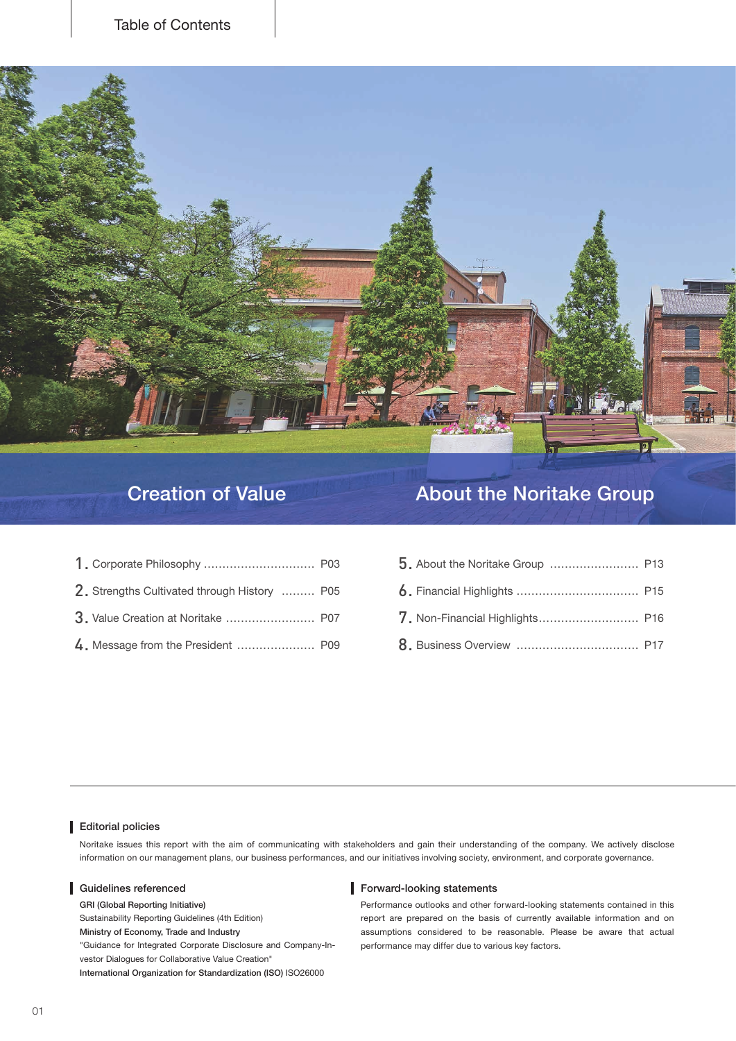

## **Data Creation of Value About the Noritake Group Creation of Value About the Noritake Group**

| 2. Strengths Cultivated through History  P05 |  |
|----------------------------------------------|--|
| 3. Value Creation at Noritake  P07           |  |
| 4. Message from the President  P09           |  |

### website our Visit covered Organizations policies our Visit covered Organizations policies experiences and the covered organizations policies of the covered organizations policies of the covered organizations policies of th

Noritake issues this report with the aim of communicating with stakeholders and gain their understanding of the company. We actively disclose information on our management plans, our business performances, and our initiatives involving society, environment, and corporate governance.

GRI (Global Reporting Initiative)

Sustainability Reporting Guidelines (4th Edition)

Ministry of Economy, Trade and Industry

"Guidance for Integrated Corporate Disclosure and Company-In-<br>vestor Dialogues for Collaborative Value Creation"

International Organization for Standardization (ISO) ISO26000

### Guidelines referenced **Guidelines** referenced **Guidelines** referenced

Performance outlooks and other forward-looking statements contained in this report are prepared on the basis of currently available information and on assumptions considered to be reasonable. Please be aware that actual performance may differ due to various key factors.